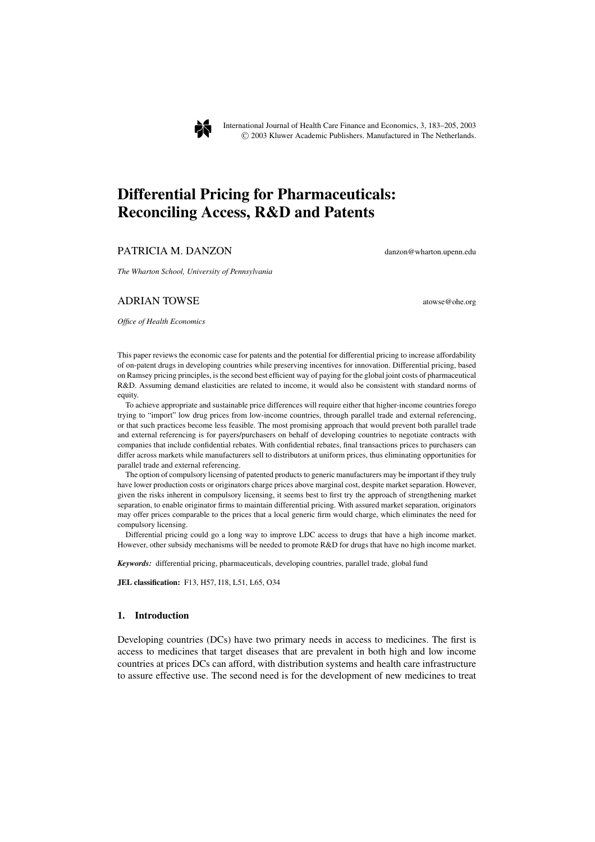

International Journal of Health Care Finance and Economics, 3, 183–205, 2003 -C 2003 Kluwer Academic Publishers. Manufactured in The Netherlands.

# **Differential Pricing for Pharmaceuticals: Reconciling Access, R&D and Patents**

## PATRICIA M. DANZON danzon@wharton.upenn.edu

*The Wharton School, University of Pennsylvania*

# ADRIAN TOWSE atowse@ohe.org

*Office of Health Economics*

This paper reviews the economic case for patents and the potential for differential pricing to increase affordability of on-patent drugs in developing countries while preserving incentives for innovation. Differential pricing, based on Ramsey pricing principles, is the second best efficient way of paying for the global joint costs of pharmaceutical R&D. Assuming demand elasticities are related to income, it would also be consistent with standard norms of equity.

To achieve appropriate and sustainable price differences will require either that higher-income countries forego trying to "import" low drug prices from low-income countries, through parallel trade and external referencing, or that such practices become less feasible. The most promising approach that would prevent both parallel trade and external referencing is for payers/purchasers on behalf of developing countries to negotiate contracts with companies that include confidential rebates. With confidential rebates, final transactions prices to purchasers can differ across markets while manufacturers sell to distributors at uniform prices, thus eliminating opportunities for parallel trade and external referencing.

The option of compulsory licensing of patented products to generic manufacturers may be important if they truly have lower production costs or originators charge prices above marginal cost, despite market separation. However, given the risks inherent in compulsory licensing, it seems best to first try the approach of strengthening market separation, to enable originator firms to maintain differential pricing. With assured market separation, originators may offer prices comparable to the prices that a local generic firm would charge, which eliminates the need for compulsory licensing.

Differential pricing could go a long way to improve LDC access to drugs that have a high income market. However, other subsidy mechanisms will be needed to promote R&D for drugs that have no high income market.

*Keywords:* differential pricing, pharmaceuticals, developing countries, parallel trade, global fund

**JEL classification:** F13, H57, I18, L51, L65, O34

## **1. Introduction**

Developing countries (DCs) have two primary needs in access to medicines. The first is access to medicines that target diseases that are prevalent in both high and low income countries at prices DCs can afford, with distribution systems and health care infrastructure to assure effective use. The second need is for the development of new medicines to treat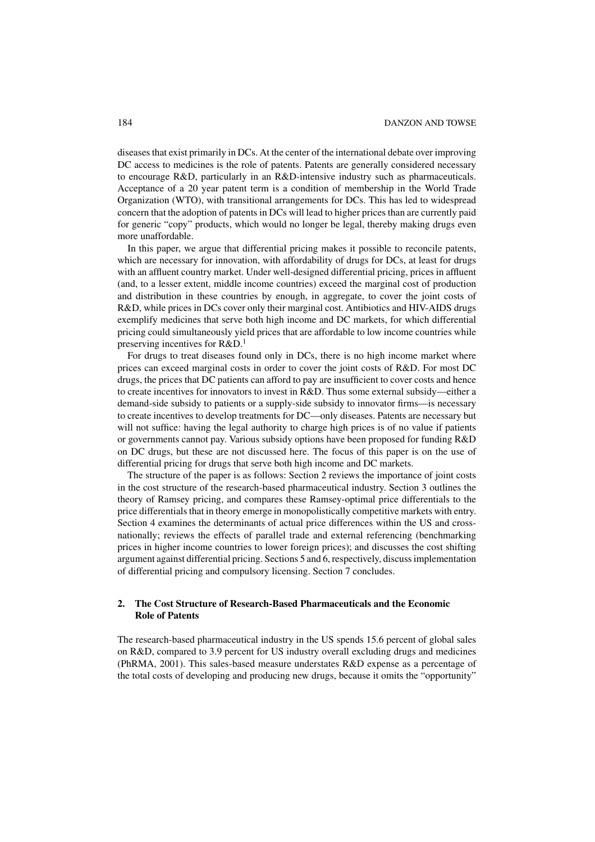#### 184 DANZON AND TOWSE

diseases that exist primarily in DCs. At the center of the international debate over improving DC access to medicines is the role of patents. Patents are generally considered necessary to encourage R&D, particularly in an R&D-intensive industry such as pharmaceuticals. Acceptance of a 20 year patent term is a condition of membership in the World Trade Organization (WTO), with transitional arrangements for DCs. This has led to widespread concern that the adoption of patents in DCs will lead to higher prices than are currently paid for generic "copy" products, which would no longer be legal, thereby making drugs even more unaffordable.

In this paper, we argue that differential pricing makes it possible to reconcile patents, which are necessary for innovation, with affordability of drugs for DCs, at least for drugs with an affluent country market. Under well-designed differential pricing, prices in affluent (and, to a lesser extent, middle income countries) exceed the marginal cost of production and distribution in these countries by enough, in aggregate, to cover the joint costs of R&D, while prices in DCs cover only their marginal cost. Antibiotics and HIV-AIDS drugs exemplify medicines that serve both high income and DC markets, for which differential pricing could simultaneously yield prices that are affordable to low income countries while preserving incentives for R&D.<sup>1</sup>

For drugs to treat diseases found only in DCs, there is no high income market where prices can exceed marginal costs in order to cover the joint costs of R&D. For most DC drugs, the prices that DC patients can afford to pay are insufficient to cover costs and hence to create incentives for innovators to invest in R&D. Thus some external subsidy—either a demand-side subsidy to patients or a supply-side subsidy to innovator firms—is necessary to create incentives to develop treatments for DC—only diseases. Patents are necessary but will not suffice: having the legal authority to charge high prices is of no value if patients or governments cannot pay. Various subsidy options have been proposed for funding R&D on DC drugs, but these are not discussed here. The focus of this paper is on the use of differential pricing for drugs that serve both high income and DC markets.

The structure of the paper is as follows: Section 2 reviews the importance of joint costs in the cost structure of the research-based pharmaceutical industry. Section 3 outlines the theory of Ramsey pricing, and compares these Ramsey-optimal price differentials to the price differentials that in theory emerge in monopolistically competitive markets with entry. Section 4 examines the determinants of actual price differences within the US and crossnationally; reviews the effects of parallel trade and external referencing (benchmarking prices in higher income countries to lower foreign prices); and discusses the cost shifting argument against differential pricing. Sections 5 and 6, respectively, discuss implementation of differential pricing and compulsory licensing. Section 7 concludes.

## **2. The Cost Structure of Research-Based Pharmaceuticals and the Economic Role of Patents**

The research-based pharmaceutical industry in the US spends 15.6 percent of global sales on R&D, compared to 3.9 percent for US industry overall excluding drugs and medicines (PhRMA, 2001). This sales-based measure understates R&D expense as a percentage of the total costs of developing and producing new drugs, because it omits the "opportunity"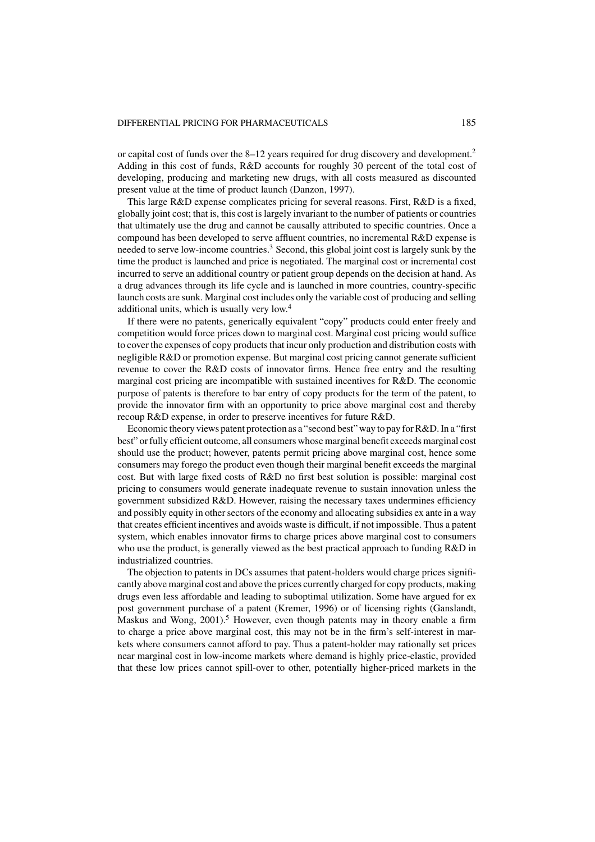or capital cost of funds over the  $8-12$  years required for drug discovery and development.<sup>2</sup> Adding in this cost of funds, R&D accounts for roughly 30 percent of the total cost of developing, producing and marketing new drugs, with all costs measured as discounted present value at the time of product launch (Danzon, 1997).

This large R&D expense complicates pricing for several reasons. First, R&D is a fixed, globally joint cost; that is, this cost is largely invariant to the number of patients or countries that ultimately use the drug and cannot be causally attributed to specific countries. Once a compound has been developed to serve affluent countries, no incremental R&D expense is needed to serve low-income countries.<sup>3</sup> Second, this global joint cost is largely sunk by the time the product is launched and price is negotiated. The marginal cost or incremental cost incurred to serve an additional country or patient group depends on the decision at hand. As a drug advances through its life cycle and is launched in more countries, country-specific launch costs are sunk. Marginal cost includes only the variable cost of producing and selling additional units, which is usually very low.<sup>4</sup>

If there were no patents, generically equivalent "copy" products could enter freely and competition would force prices down to marginal cost. Marginal cost pricing would suffice to cover the expenses of copy products that incur only production and distribution costs with negligible R&D or promotion expense. But marginal cost pricing cannot generate sufficient revenue to cover the R&D costs of innovator firms. Hence free entry and the resulting marginal cost pricing are incompatible with sustained incentives for R&D. The economic purpose of patents is therefore to bar entry of copy products for the term of the patent, to provide the innovator firm with an opportunity to price above marginal cost and thereby recoup R&D expense, in order to preserve incentives for future R&D.

Economic theory views patent protection as a "second best" way to pay for R&D. In a "first best" or fully efficient outcome, all consumers whose marginal benefit exceeds marginal cost should use the product; however, patents permit pricing above marginal cost, hence some consumers may forego the product even though their marginal benefit exceeds the marginal cost. But with large fixed costs of R&D no first best solution is possible: marginal cost pricing to consumers would generate inadequate revenue to sustain innovation unless the government subsidized R&D. However, raising the necessary taxes undermines efficiency and possibly equity in other sectors of the economy and allocating subsidies ex ante in a way that creates efficient incentives and avoids waste is difficult, if not impossible. Thus a patent system, which enables innovator firms to charge prices above marginal cost to consumers who use the product, is generally viewed as the best practical approach to funding R&D in industrialized countries.

The objection to patents in DCs assumes that patent-holders would charge prices significantly above marginal cost and above the prices currently charged for copy products, making drugs even less affordable and leading to suboptimal utilization. Some have argued for ex post government purchase of a patent (Kremer, 1996) or of licensing rights (Ganslandt, Maskus and Wong,  $2001$ <sup>5</sup>. However, even though patents may in theory enable a firm to charge a price above marginal cost, this may not be in the firm's self-interest in markets where consumers cannot afford to pay. Thus a patent-holder may rationally set prices near marginal cost in low-income markets where demand is highly price-elastic, provided that these low prices cannot spill-over to other, potentially higher-priced markets in the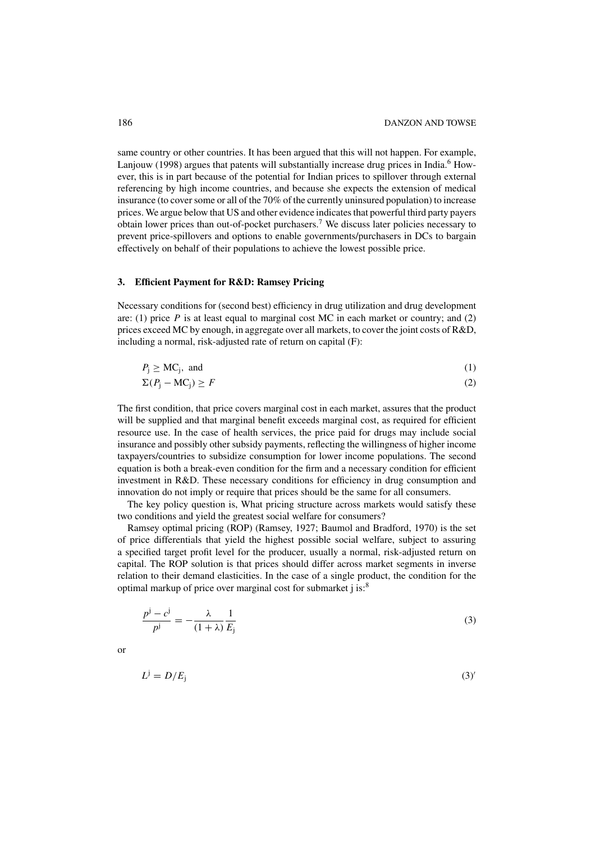same country or other countries. It has been argued that this will not happen. For example, Lanjouw (1998) argues that patents will substantially increase drug prices in India.<sup>6</sup> However, this is in part because of the potential for Indian prices to spillover through external referencing by high income countries, and because she expects the extension of medical insurance (to cover some or all of the 70% of the currently uninsured population) to increase prices. We argue below that US and other evidence indicates that powerful third party payers obtain lower prices than out-of-pocket purchasers.<sup>7</sup> We discuss later policies necessary to prevent price-spillovers and options to enable governments/purchasers in DCs to bargain effectively on behalf of their populations to achieve the lowest possible price.

## **3. Efficient Payment for R&D: Ramsey Pricing**

Necessary conditions for (second best) efficiency in drug utilization and drug development are: (1) price  $P$  is at least equal to marginal cost MC in each market or country; and (2) prices exceed MC by enough, in aggregate over all markets, to cover the joint costs of R&D, including a normal, risk-adjusted rate of return on capital (F):

$$
P_j \geq \text{MC}_j, \text{ and } \tag{1}
$$

$$
\Sigma(P_j - \text{MC}_j) \ge F \tag{2}
$$

The first condition, that price covers marginal cost in each market, assures that the product will be supplied and that marginal benefit exceeds marginal cost, as required for efficient resource use. In the case of health services, the price paid for drugs may include social insurance and possibly other subsidy payments, reflecting the willingness of higher income taxpayers/countries to subsidize consumption for lower income populations. The second equation is both a break-even condition for the firm and a necessary condition for efficient investment in R&D. These necessary conditions for efficiency in drug consumption and innovation do not imply or require that prices should be the same for all consumers.

The key policy question is, What pricing structure across markets would satisfy these two conditions and yield the greatest social welfare for consumers?

Ramsey optimal pricing (ROP) (Ramsey, 1927; Baumol and Bradford, 1970) is the set of price differentials that yield the highest possible social welfare, subject to assuring a specified target profit level for the producer, usually a normal, risk-adjusted return on capital. The ROP solution is that prices should differ across market segments in inverse relation to their demand elasticities. In the case of a single product, the condition for the optimal markup of price over marginal cost for submarket j is:<sup>8</sup>

$$
\frac{p^j - c^j}{p^j} = -\frac{\lambda}{(1+\lambda)} \frac{1}{E_j}
$$
\n<sup>(3)</sup>

or

$$
L^j = D/E_j \tag{3'}
$$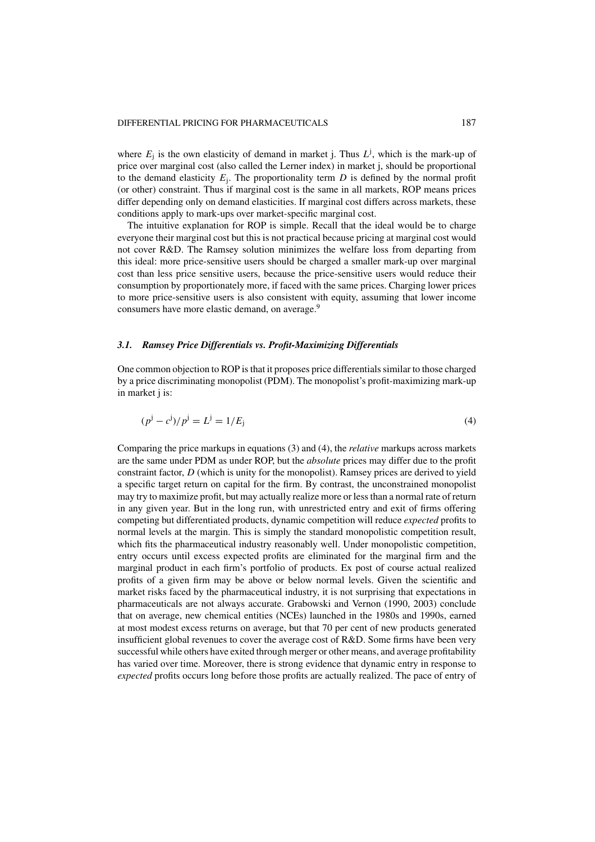where  $E_j$  is the own elasticity of demand in market j. Thus  $L^j$ , which is the mark-up of price over marginal cost (also called the Lerner index) in market j, should be proportional to the demand elasticity  $E_i$ . The proportionality term  $D$  is defined by the normal profit (or other) constraint. Thus if marginal cost is the same in all markets, ROP means prices differ depending only on demand elasticities. If marginal cost differs across markets, these conditions apply to mark-ups over market-specific marginal cost.

The intuitive explanation for ROP is simple. Recall that the ideal would be to charge everyone their marginal cost but this is not practical because pricing at marginal cost would not cover R&D. The Ramsey solution minimizes the welfare loss from departing from this ideal: more price-sensitive users should be charged a smaller mark-up over marginal cost than less price sensitive users, because the price-sensitive users would reduce their consumption by proportionately more, if faced with the same prices. Charging lower prices to more price-sensitive users is also consistent with equity, assuming that lower income consumers have more elastic demand, on average.<sup>9</sup>

## *3.1. Ramsey Price Differentials vs. Profit-Maximizing Differentials*

One common objection to ROP is that it proposes price differentials similar to those charged by a price discriminating monopolist (PDM). The monopolist's profit-maximizing mark-up in market *i* is:

$$
(p^j - c^j)/p^j = L^j = 1/E_j
$$
\n(4)

Comparing the price markups in equations (3) and (4), the *relative* markups across markets are the same under PDM as under ROP, but the *absolute* prices may differ due to the profit constraint factor, *D* (which is unity for the monopolist). Ramsey prices are derived to yield a specific target return on capital for the firm. By contrast, the unconstrained monopolist may try to maximize profit, but may actually realize more or less than a normal rate of return in any given year. But in the long run, with unrestricted entry and exit of firms offering competing but differentiated products, dynamic competition will reduce *expected* profits to normal levels at the margin. This is simply the standard monopolistic competition result, which fits the pharmaceutical industry reasonably well. Under monopolistic competition, entry occurs until excess expected profits are eliminated for the marginal firm and the marginal product in each firm's portfolio of products. Ex post of course actual realized profits of a given firm may be above or below normal levels. Given the scientific and market risks faced by the pharmaceutical industry, it is not surprising that expectations in pharmaceuticals are not always accurate. Grabowski and Vernon (1990, 2003) conclude that on average, new chemical entities (NCEs) launched in the 1980s and 1990s, earned at most modest excess returns on average, but that 70 per cent of new products generated insufficient global revenues to cover the average cost of R&D. Some firms have been very successful while others have exited through merger or other means, and average profitability has varied over time. Moreover, there is strong evidence that dynamic entry in response to *expected* profits occurs long before those profits are actually realized. The pace of entry of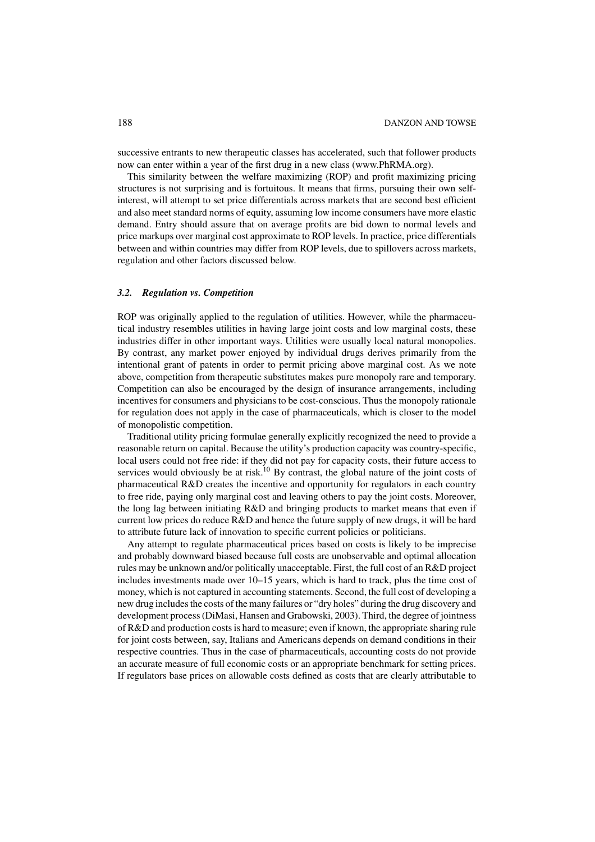successive entrants to new therapeutic classes has accelerated, such that follower products now can enter within a year of the first drug in a new class (www.PhRMA.org).

This similarity between the welfare maximizing (ROP) and profit maximizing pricing structures is not surprising and is fortuitous. It means that firms, pursuing their own selfinterest, will attempt to set price differentials across markets that are second best efficient and also meet standard norms of equity, assuming low income consumers have more elastic demand. Entry should assure that on average profits are bid down to normal levels and price markups over marginal cost approximate to ROP levels. In practice, price differentials between and within countries may differ from ROP levels, due to spillovers across markets, regulation and other factors discussed below.

## *3.2. Regulation vs. Competition*

ROP was originally applied to the regulation of utilities. However, while the pharmaceutical industry resembles utilities in having large joint costs and low marginal costs, these industries differ in other important ways. Utilities were usually local natural monopolies. By contrast, any market power enjoyed by individual drugs derives primarily from the intentional grant of patents in order to permit pricing above marginal cost. As we note above, competition from therapeutic substitutes makes pure monopoly rare and temporary. Competition can also be encouraged by the design of insurance arrangements, including incentives for consumers and physicians to be cost-conscious. Thus the monopoly rationale for regulation does not apply in the case of pharmaceuticals, which is closer to the model of monopolistic competition.

Traditional utility pricing formulae generally explicitly recognized the need to provide a reasonable return on capital. Because the utility's production capacity was country-specific, local users could not free ride: if they did not pay for capacity costs, their future access to services would obviously be at risk.<sup>10</sup> By contrast, the global nature of the joint costs of pharmaceutical R&D creates the incentive and opportunity for regulators in each country to free ride, paying only marginal cost and leaving others to pay the joint costs. Moreover, the long lag between initiating R&D and bringing products to market means that even if current low prices do reduce R&D and hence the future supply of new drugs, it will be hard to attribute future lack of innovation to specific current policies or politicians.

Any attempt to regulate pharmaceutical prices based on costs is likely to be imprecise and probably downward biased because full costs are unobservable and optimal allocation rules may be unknown and/or politically unacceptable. First, the full cost of an R&D project includes investments made over 10–15 years, which is hard to track, plus the time cost of money, which is not captured in accounting statements. Second, the full cost of developing a new drug includes the costs of the many failures or "dry holes" during the drug discovery and development process (DiMasi, Hansen and Grabowski, 2003). Third, the degree of jointness of R&D and production costs is hard to measure; even if known, the appropriate sharing rule for joint costs between, say, Italians and Americans depends on demand conditions in their respective countries. Thus in the case of pharmaceuticals, accounting costs do not provide an accurate measure of full economic costs or an appropriate benchmark for setting prices. If regulators base prices on allowable costs defined as costs that are clearly attributable to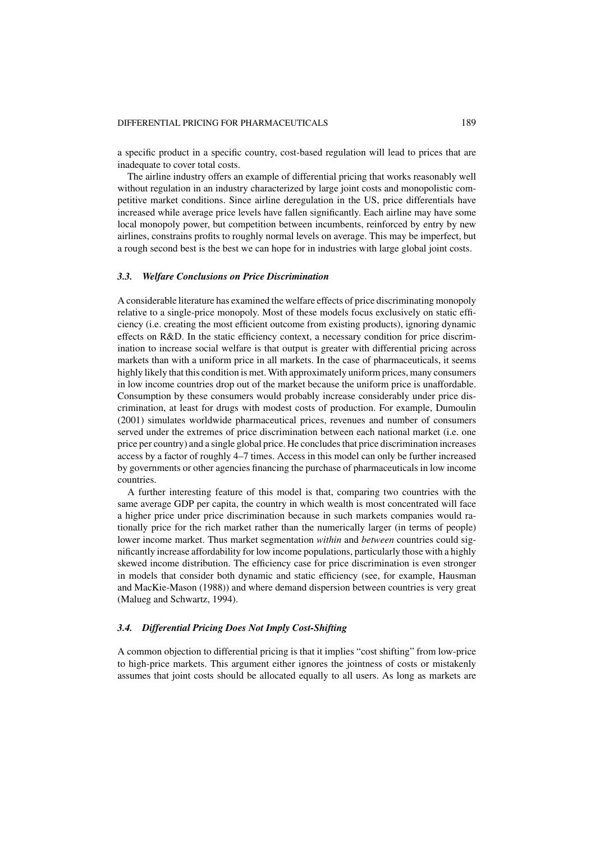a specific product in a specific country, cost-based regulation will lead to prices that are inadequate to cover total costs.

The airline industry offers an example of differential pricing that works reasonably well without regulation in an industry characterized by large joint costs and monopolistic competitive market conditions. Since airline deregulation in the US, price differentials have increased while average price levels have fallen significantly. Each airline may have some local monopoly power, but competition between incumbents, reinforced by entry by new airlines, constrains profits to roughly normal levels on average. This may be imperfect, but a rough second best is the best we can hope for in industries with large global joint costs.

#### *3.3. Welfare Conclusions on Price Discrimination*

A considerable literature has examined the welfare effects of price discriminating monopoly relative to a single-price monopoly. Most of these models focus exclusively on static efficiency (i.e. creating the most efficient outcome from existing products), ignoring dynamic effects on R&D. In the static efficiency context, a necessary condition for price discrimination to increase social welfare is that output is greater with differential pricing across markets than with a uniform price in all markets. In the case of pharmaceuticals, it seems highly likely that this condition is met. With approximately uniform prices, many consumers in low income countries drop out of the market because the uniform price is unaffordable. Consumption by these consumers would probably increase considerably under price discrimination, at least for drugs with modest costs of production. For example, Dumoulin (2001) simulates worldwide pharmaceutical prices, revenues and number of consumers served under the extremes of price discrimination between each national market (i.e. one price per country) and a single global price. He concludes that price discrimination increases access by a factor of roughly 4–7 times. Access in this model can only be further increased by governments or other agencies financing the purchase of pharmaceuticals in low income countries.

A further interesting feature of this model is that, comparing two countries with the same average GDP per capita, the country in which wealth is most concentrated will face a higher price under price discrimination because in such markets companies would rationally price for the rich market rather than the numerically larger (in terms of people) lower income market. Thus market segmentation *within* and *between* countries could significantly increase affordability for low income populations, particularly those with a highly skewed income distribution. The efficiency case for price discrimination is even stronger in models that consider both dynamic and static efficiency (see, for example, Hausman and MacKie-Mason (1988)) and where demand dispersion between countries is very great (Malueg and Schwartz, 1994).

## *3.4. Differential Pricing Does Not Imply Cost-Shifting*

A common objection to differential pricing is that it implies "cost shifting" from low-price to high-price markets. This argument either ignores the jointness of costs or mistakenly assumes that joint costs should be allocated equally to all users. As long as markets are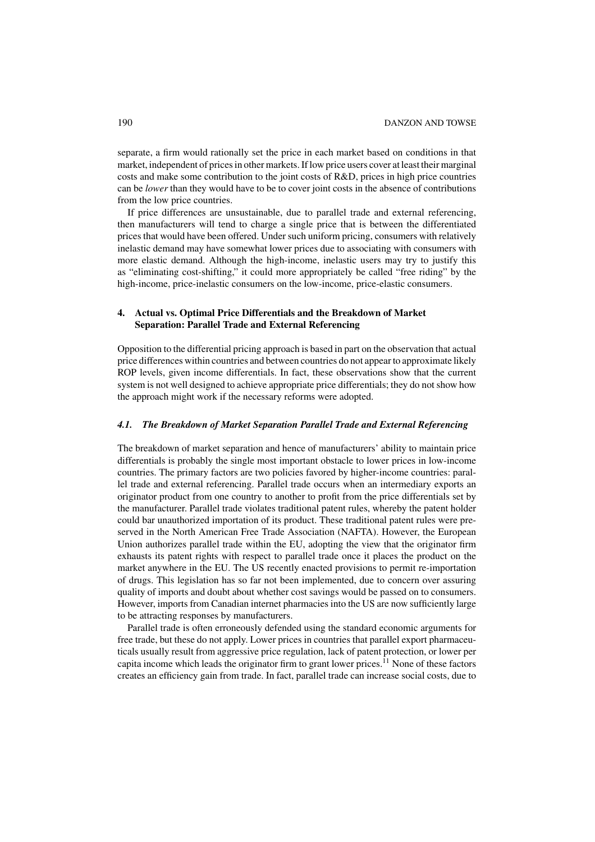separate, a firm would rationally set the price in each market based on conditions in that market, independent of prices in other markets. If low price users cover at least their marginal costs and make some contribution to the joint costs of R&D, prices in high price countries can be *lower* than they would have to be to cover joint costs in the absence of contributions from the low price countries.

If price differences are unsustainable, due to parallel trade and external referencing, then manufacturers will tend to charge a single price that is between the differentiated prices that would have been offered. Under such uniform pricing, consumers with relatively inelastic demand may have somewhat lower prices due to associating with consumers with more elastic demand. Although the high-income, inelastic users may try to justify this as "eliminating cost-shifting," it could more appropriately be called "free riding" by the high-income, price-inelastic consumers on the low-income, price-elastic consumers.

# **4. Actual vs. Optimal Price Differentials and the Breakdown of Market Separation: Parallel Trade and External Referencing**

Opposition to the differential pricing approach is based in part on the observation that actual price differences within countries and between countries do not appear to approximate likely ROP levels, given income differentials. In fact, these observations show that the current system is not well designed to achieve appropriate price differentials; they do not show how the approach might work if the necessary reforms were adopted.

## *4.1. The Breakdown of Market Separation Parallel Trade and External Referencing*

The breakdown of market separation and hence of manufacturers' ability to maintain price differentials is probably the single most important obstacle to lower prices in low-income countries. The primary factors are two policies favored by higher-income countries: parallel trade and external referencing. Parallel trade occurs when an intermediary exports an originator product from one country to another to profit from the price differentials set by the manufacturer. Parallel trade violates traditional patent rules, whereby the patent holder could bar unauthorized importation of its product. These traditional patent rules were preserved in the North American Free Trade Association (NAFTA). However, the European Union authorizes parallel trade within the EU, adopting the view that the originator firm exhausts its patent rights with respect to parallel trade once it places the product on the market anywhere in the EU. The US recently enacted provisions to permit re-importation of drugs. This legislation has so far not been implemented, due to concern over assuring quality of imports and doubt about whether cost savings would be passed on to consumers. However, imports from Canadian internet pharmacies into the US are now sufficiently large to be attracting responses by manufacturers.

Parallel trade is often erroneously defended using the standard economic arguments for free trade, but these do not apply. Lower prices in countries that parallel export pharmaceuticals usually result from aggressive price regulation, lack of patent protection, or lower per capita income which leads the originator firm to grant lower prices.<sup>11</sup> None of these factors creates an efficiency gain from trade. In fact, parallel trade can increase social costs, due to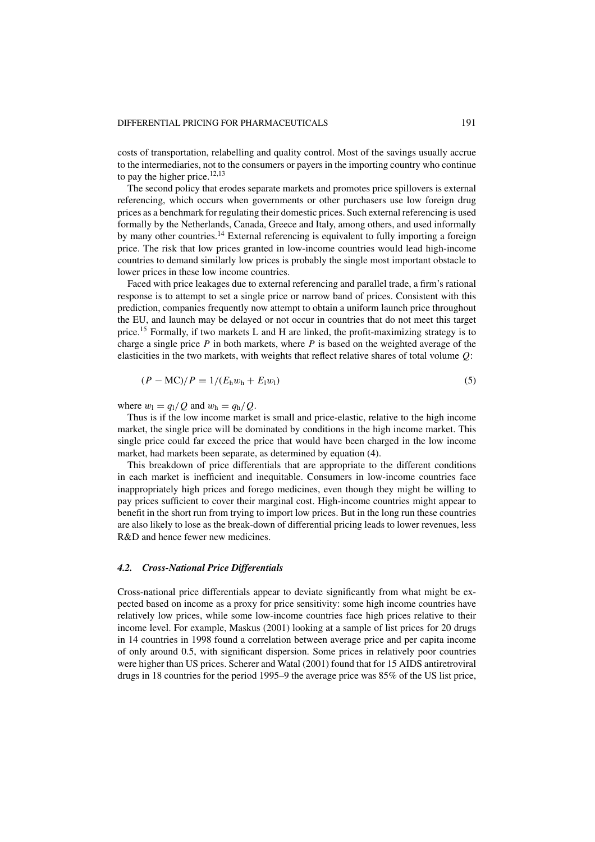costs of transportation, relabelling and quality control. Most of the savings usually accrue to the intermediaries, not to the consumers or payers in the importing country who continue to pay the higher price. $12,13$ 

The second policy that erodes separate markets and promotes price spillovers is external referencing, which occurs when governments or other purchasers use low foreign drug prices as a benchmark for regulating their domestic prices. Such external referencing is used formally by the Netherlands, Canada, Greece and Italy, among others, and used informally by many other countries.<sup>14</sup> External referencing is equivalent to fully importing a foreign price. The risk that low prices granted in low-income countries would lead high-income countries to demand similarly low prices is probably the single most important obstacle to lower prices in these low income countries.

Faced with price leakages due to external referencing and parallel trade, a firm's rational response is to attempt to set a single price or narrow band of prices. Consistent with this prediction, companies frequently now attempt to obtain a uniform launch price throughout the EU, and launch may be delayed or not occur in countries that do not meet this target price.15 Formally, if two markets L and H are linked, the profit-maximizing strategy is to charge a single price *P* in both markets, where *P* is based on the weighted average of the elasticities in the two markets, with weights that reflect relative shares of total volume *Q*:

$$
(P - MC)/P = 1/(E_h w_h + E_1 w_l)
$$
\n(5)

where  $w_1 = q_1/Q$  and  $w_h = q_h/Q$ .

Thus is if the low income market is small and price-elastic, relative to the high income market, the single price will be dominated by conditions in the high income market. This single price could far exceed the price that would have been charged in the low income market, had markets been separate, as determined by equation (4).

This breakdown of price differentials that are appropriate to the different conditions in each market is inefficient and inequitable. Consumers in low-income countries face inappropriately high prices and forego medicines, even though they might be willing to pay prices sufficient to cover their marginal cost. High-income countries might appear to benefit in the short run from trying to import low prices. But in the long run these countries are also likely to lose as the break-down of differential pricing leads to lower revenues, less R&D and hence fewer new medicines.

### *4.2. Cross-National Price Differentials*

Cross-national price differentials appear to deviate significantly from what might be expected based on income as a proxy for price sensitivity: some high income countries have relatively low prices, while some low-income countries face high prices relative to their income level. For example, Maskus (2001) looking at a sample of list prices for 20 drugs in 14 countries in 1998 found a correlation between average price and per capita income of only around 0.5, with significant dispersion. Some prices in relatively poor countries were higher than US prices. Scherer and Watal (2001) found that for 15 AIDS antiretroviral drugs in 18 countries for the period 1995–9 the average price was 85% of the US list price,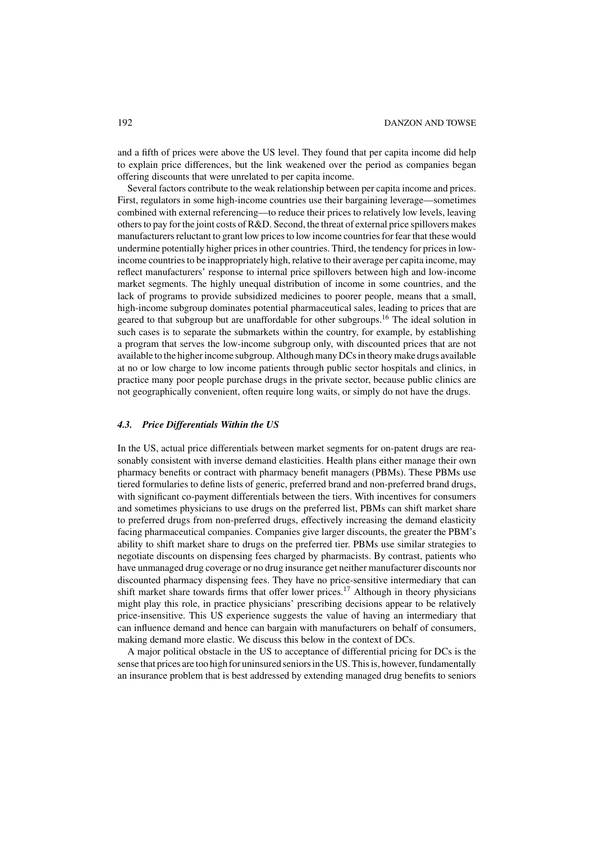and a fifth of prices were above the US level. They found that per capita income did help to explain price differences, but the link weakened over the period as companies began offering discounts that were unrelated to per capita income.

Several factors contribute to the weak relationship between per capita income and prices. First, regulators in some high-income countries use their bargaining leverage—sometimes combined with external referencing—to reduce their prices to relatively low levels, leaving others to pay for the joint costs of R&D. Second, the threat of external price spillovers makes manufacturers reluctant to grant low prices to low income countries for fear that these would undermine potentially higher prices in other countries. Third, the tendency for prices in lowincome countries to be inappropriately high, relative to their average per capita income, may reflect manufacturers' response to internal price spillovers between high and low-income market segments. The highly unequal distribution of income in some countries, and the lack of programs to provide subsidized medicines to poorer people, means that a small, high-income subgroup dominates potential pharmaceutical sales, leading to prices that are geared to that subgroup but are unaffordable for other subgroups.<sup>16</sup> The ideal solution in such cases is to separate the submarkets within the country, for example, by establishing a program that serves the low-income subgroup only, with discounted prices that are not available to the higher income subgroup. Although many DCs in theory make drugs available at no or low charge to low income patients through public sector hospitals and clinics, in practice many poor people purchase drugs in the private sector, because public clinics are not geographically convenient, often require long waits, or simply do not have the drugs.

## *4.3. Price Differentials Within the US*

In the US, actual price differentials between market segments for on-patent drugs are reasonably consistent with inverse demand elasticities. Health plans either manage their own pharmacy benefits or contract with pharmacy benefit managers (PBMs). These PBMs use tiered formularies to define lists of generic, preferred brand and non-preferred brand drugs, with significant co-payment differentials between the tiers. With incentives for consumers and sometimes physicians to use drugs on the preferred list, PBMs can shift market share to preferred drugs from non-preferred drugs, effectively increasing the demand elasticity facing pharmaceutical companies. Companies give larger discounts, the greater the PBM's ability to shift market share to drugs on the preferred tier. PBMs use similar strategies to negotiate discounts on dispensing fees charged by pharmacists. By contrast, patients who have unmanaged drug coverage or no drug insurance get neither manufacturer discounts nor discounted pharmacy dispensing fees. They have no price-sensitive intermediary that can shift market share towards firms that offer lower prices.<sup>17</sup> Although in theory physicians might play this role, in practice physicians' prescribing decisions appear to be relatively price-insensitive. This US experience suggests the value of having an intermediary that can influence demand and hence can bargain with manufacturers on behalf of consumers, making demand more elastic. We discuss this below in the context of DCs.

A major political obstacle in the US to acceptance of differential pricing for DCs is the sense that prices are too high for uninsured seniors in the US. This is, however, fundamentally an insurance problem that is best addressed by extending managed drug benefits to seniors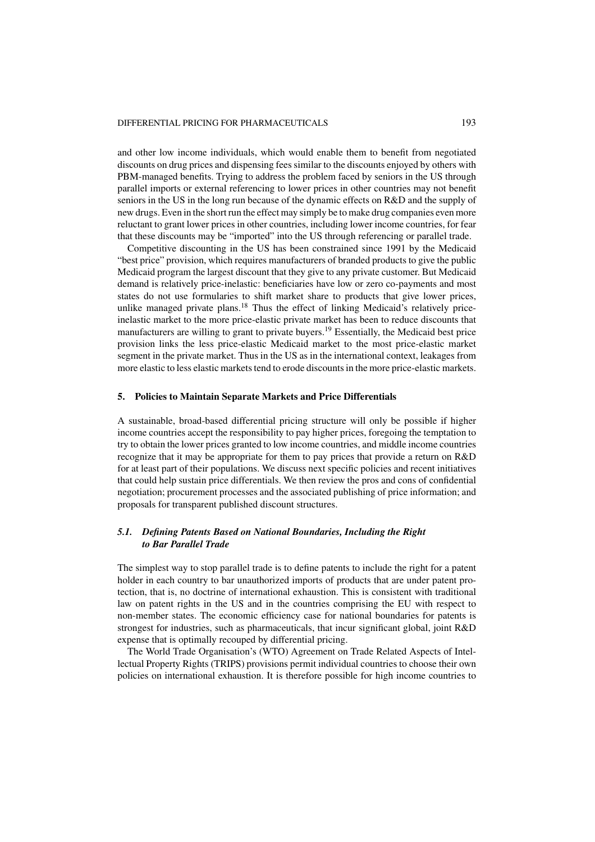and other low income individuals, which would enable them to benefit from negotiated discounts on drug prices and dispensing fees similar to the discounts enjoyed by others with PBM-managed benefits. Trying to address the problem faced by seniors in the US through parallel imports or external referencing to lower prices in other countries may not benefit seniors in the US in the long run because of the dynamic effects on R&D and the supply of new drugs. Even in the short run the effect may simply be to make drug companies even more reluctant to grant lower prices in other countries, including lower income countries, for fear that these discounts may be "imported" into the US through referencing or parallel trade.

Competitive discounting in the US has been constrained since 1991 by the Medicaid "best price" provision, which requires manufacturers of branded products to give the public Medicaid program the largest discount that they give to any private customer. But Medicaid demand is relatively price-inelastic: beneficiaries have low or zero co-payments and most states do not use formularies to shift market share to products that give lower prices, unlike managed private plans.<sup>18</sup> Thus the effect of linking Medicaid's relatively priceinelastic market to the more price-elastic private market has been to reduce discounts that manufacturers are willing to grant to private buyers.<sup>19</sup> Essentially, the Medicaid best price provision links the less price-elastic Medicaid market to the most price-elastic market segment in the private market. Thus in the US as in the international context, leakages from more elastic to less elastic markets tend to erode discounts in the more price-elastic markets.

## **5. Policies to Maintain Separate Markets and Price Differentials**

A sustainable, broad-based differential pricing structure will only be possible if higher income countries accept the responsibility to pay higher prices, foregoing the temptation to try to obtain the lower prices granted to low income countries, and middle income countries recognize that it may be appropriate for them to pay prices that provide a return on R&D for at least part of their populations. We discuss next specific policies and recent initiatives that could help sustain price differentials. We then review the pros and cons of confidential negotiation; procurement processes and the associated publishing of price information; and proposals for transparent published discount structures.

# *5.1. Defining Patents Based on National Boundaries, Including the Right to Bar Parallel Trade*

The simplest way to stop parallel trade is to define patents to include the right for a patent holder in each country to bar unauthorized imports of products that are under patent protection, that is, no doctrine of international exhaustion. This is consistent with traditional law on patent rights in the US and in the countries comprising the EU with respect to non-member states. The economic efficiency case for national boundaries for patents is strongest for industries, such as pharmaceuticals, that incur significant global, joint R&D expense that is optimally recouped by differential pricing.

The World Trade Organisation's (WTO) Agreement on Trade Related Aspects of Intellectual Property Rights (TRIPS) provisions permit individual countries to choose their own policies on international exhaustion. It is therefore possible for high income countries to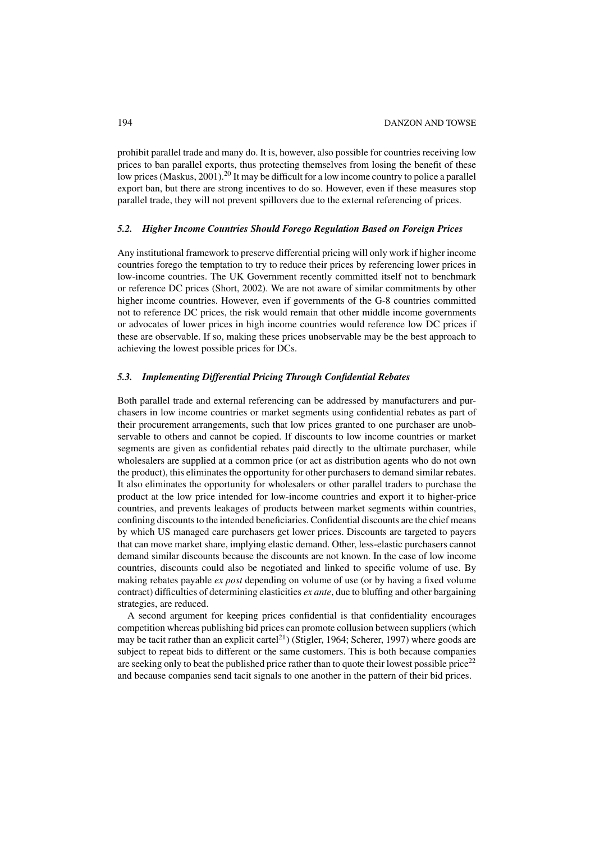prohibit parallel trade and many do. It is, however, also possible for countries receiving low prices to ban parallel exports, thus protecting themselves from losing the benefit of these low prices (Maskus, 2001).<sup>20</sup> It may be difficult for a low income country to police a parallel export ban, but there are strong incentives to do so. However, even if these measures stop parallel trade, they will not prevent spillovers due to the external referencing of prices.

## *5.2. Higher Income Countries Should Forego Regulation Based on Foreign Prices*

Any institutional framework to preserve differential pricing will only work if higher income countries forego the temptation to try to reduce their prices by referencing lower prices in low-income countries. The UK Government recently committed itself not to benchmark or reference DC prices (Short, 2002). We are not aware of similar commitments by other higher income countries. However, even if governments of the G-8 countries committed not to reference DC prices, the risk would remain that other middle income governments or advocates of lower prices in high income countries would reference low DC prices if these are observable. If so, making these prices unobservable may be the best approach to achieving the lowest possible prices for DCs.

# *5.3. Implementing Differential Pricing Through Confidential Rebates*

Both parallel trade and external referencing can be addressed by manufacturers and purchasers in low income countries or market segments using confidential rebates as part of their procurement arrangements, such that low prices granted to one purchaser are unobservable to others and cannot be copied. If discounts to low income countries or market segments are given as confidential rebates paid directly to the ultimate purchaser, while wholesalers are supplied at a common price (or act as distribution agents who do not own the product), this eliminates the opportunity for other purchasers to demand similar rebates. It also eliminates the opportunity for wholesalers or other parallel traders to purchase the product at the low price intended for low-income countries and export it to higher-price countries, and prevents leakages of products between market segments within countries, confining discounts to the intended beneficiaries. Confidential discounts are the chief means by which US managed care purchasers get lower prices. Discounts are targeted to payers that can move market share, implying elastic demand. Other, less-elastic purchasers cannot demand similar discounts because the discounts are not known. In the case of low income countries, discounts could also be negotiated and linked to specific volume of use. By making rebates payable *ex post* depending on volume of use (or by having a fixed volume contract) difficulties of determining elasticities *ex ante*, due to bluffing and other bargaining strategies, are reduced.

A second argument for keeping prices confidential is that confidentiality encourages competition whereas publishing bid prices can promote collusion between suppliers (which may be tacit rather than an explicit cartel<sup>21</sup>) (Stigler, 1964; Scherer, 1997) where goods are subject to repeat bids to different or the same customers. This is both because companies are seeking only to beat the published price rather than to quote their lowest possible price $2<sup>22</sup>$ and because companies send tacit signals to one another in the pattern of their bid prices.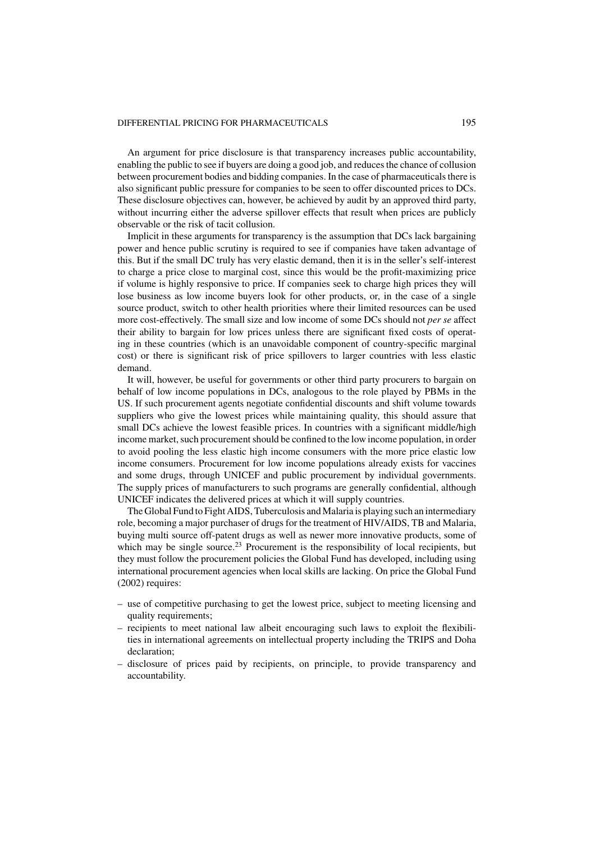An argument for price disclosure is that transparency increases public accountability, enabling the public to see if buyers are doing a good job, and reduces the chance of collusion between procurement bodies and bidding companies. In the case of pharmaceuticals there is also significant public pressure for companies to be seen to offer discounted prices to DCs. These disclosure objectives can, however, be achieved by audit by an approved third party, without incurring either the adverse spillover effects that result when prices are publicly observable or the risk of tacit collusion.

Implicit in these arguments for transparency is the assumption that DCs lack bargaining power and hence public scrutiny is required to see if companies have taken advantage of this. But if the small DC truly has very elastic demand, then it is in the seller's self-interest to charge a price close to marginal cost, since this would be the profit-maximizing price if volume is highly responsive to price. If companies seek to charge high prices they will lose business as low income buyers look for other products, or, in the case of a single source product, switch to other health priorities where their limited resources can be used more cost-effectively. The small size and low income of some DCs should not *per se* affect their ability to bargain for low prices unless there are significant fixed costs of operating in these countries (which is an unavoidable component of country-specific marginal cost) or there is significant risk of price spillovers to larger countries with less elastic demand.

It will, however, be useful for governments or other third party procurers to bargain on behalf of low income populations in DCs, analogous to the role played by PBMs in the US. If such procurement agents negotiate confidential discounts and shift volume towards suppliers who give the lowest prices while maintaining quality, this should assure that small DCs achieve the lowest feasible prices. In countries with a significant middle/high income market, such procurement should be confined to the low income population, in order to avoid pooling the less elastic high income consumers with the more price elastic low income consumers. Procurement for low income populations already exists for vaccines and some drugs, through UNICEF and public procurement by individual governments. The supply prices of manufacturers to such programs are generally confidential, although UNICEF indicates the delivered prices at which it will supply countries.

The Global Fund to Fight AIDS, Tuberculosis and Malaria is playing such an intermediary role, becoming a major purchaser of drugs for the treatment of HIV/AIDS, TB and Malaria, buying multi source off-patent drugs as well as newer more innovative products, some of which may be single source.<sup>23</sup> Procurement is the responsibility of local recipients, but they must follow the procurement policies the Global Fund has developed, including using international procurement agencies when local skills are lacking. On price the Global Fund (2002) requires:

- use of competitive purchasing to get the lowest price, subject to meeting licensing and quality requirements;
- recipients to meet national law albeit encouraging such laws to exploit the flexibilities in international agreements on intellectual property including the TRIPS and Doha declaration;
- disclosure of prices paid by recipients, on principle, to provide transparency and accountability.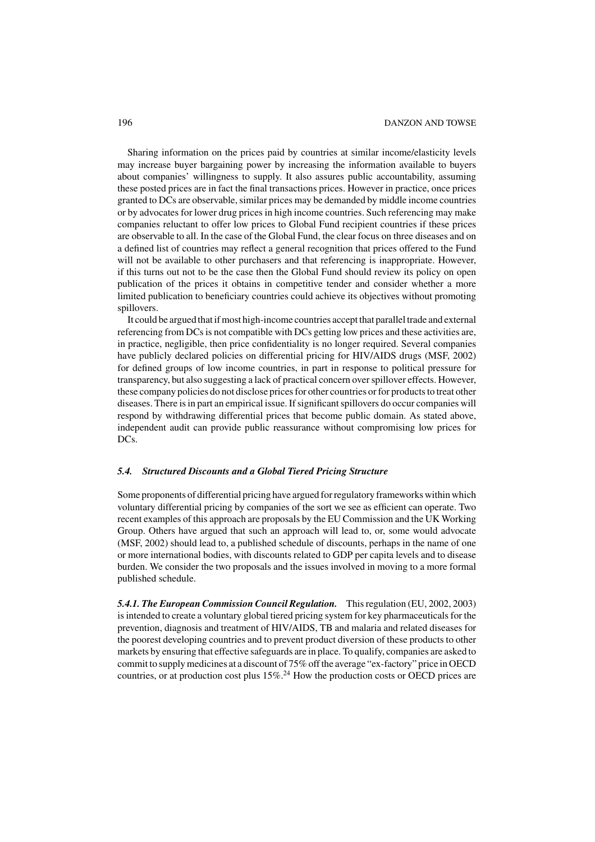Sharing information on the prices paid by countries at similar income/elasticity levels may increase buyer bargaining power by increasing the information available to buyers about companies' willingness to supply. It also assures public accountability, assuming these posted prices are in fact the final transactions prices. However in practice, once prices granted to DCs are observable, similar prices may be demanded by middle income countries or by advocates for lower drug prices in high income countries. Such referencing may make companies reluctant to offer low prices to Global Fund recipient countries if these prices are observable to all. In the case of the Global Fund, the clear focus on three diseases and on a defined list of countries may reflect a general recognition that prices offered to the Fund will not be available to other purchasers and that referencing is inappropriate. However, if this turns out not to be the case then the Global Fund should review its policy on open publication of the prices it obtains in competitive tender and consider whether a more limited publication to beneficiary countries could achieve its objectives without promoting spillovers.

It could be argued that if most high-income countries accept that parallel trade and external referencing from DCs is not compatible with DCs getting low prices and these activities are, in practice, negligible, then price confidentiality is no longer required. Several companies have publicly declared policies on differential pricing for HIV/AIDS drugs (MSF, 2002) for defined groups of low income countries, in part in response to political pressure for transparency, but also suggesting a lack of practical concern over spillover effects. However, these company policies do not disclose prices for other countries or for products to treat other diseases. There is in part an empirical issue. If significant spillovers do occur companies will respond by withdrawing differential prices that become public domain. As stated above, independent audit can provide public reassurance without compromising low prices for DC<sub>s</sub>.

## *5.4. Structured Discounts and a Global Tiered Pricing Structure*

Some proponents of differential pricing have argued for regulatory frameworks within which voluntary differential pricing by companies of the sort we see as efficient can operate. Two recent examples of this approach are proposals by the EU Commission and the UK Working Group. Others have argued that such an approach will lead to, or, some would advocate (MSF, 2002) should lead to, a published schedule of discounts, perhaps in the name of one or more international bodies, with discounts related to GDP per capita levels and to disease burden. We consider the two proposals and the issues involved in moving to a more formal published schedule.

*5.4.1. The European Commission Council Regulation.* This regulation (EU, 2002, 2003) is intended to create a voluntary global tiered pricing system for key pharmaceuticals for the prevention, diagnosis and treatment of HIV/AIDS, TB and malaria and related diseases for the poorest developing countries and to prevent product diversion of these products to other markets by ensuring that effective safeguards are in place. To qualify, companies are asked to commit to supply medicines at a discount of 75% off the average "ex-factory" price in OECD countries, or at production cost plus  $15\%$ <sup>24</sup> How the production costs or OECD prices are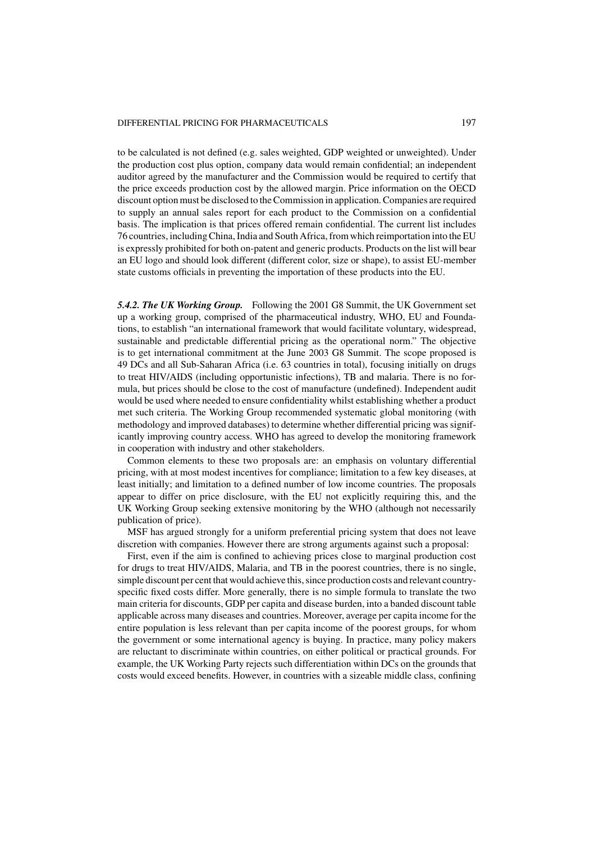to be calculated is not defined (e.g. sales weighted, GDP weighted or unweighted). Under the production cost plus option, company data would remain confidential; an independent auditor agreed by the manufacturer and the Commission would be required to certify that the price exceeds production cost by the allowed margin. Price information on the OECD discount option must be disclosed to the Commission in application. Companies are required to supply an annual sales report for each product to the Commission on a confidential basis. The implication is that prices offered remain confidential. The current list includes 76 countries, including China, India and South Africa, from which reimportation into the EU is expressly prohibited for both on-patent and generic products. Products on the list will bear an EU logo and should look different (different color, size or shape), to assist EU-member state customs officials in preventing the importation of these products into the EU.

*5.4.2. The UK Working Group.* Following the 2001 G8 Summit, the UK Government set up a working group, comprised of the pharmaceutical industry, WHO, EU and Foundations, to establish "an international framework that would facilitate voluntary, widespread, sustainable and predictable differential pricing as the operational norm." The objective is to get international commitment at the June 2003 G8 Summit. The scope proposed is 49 DCs and all Sub-Saharan Africa (i.e. 63 countries in total), focusing initially on drugs to treat HIV/AIDS (including opportunistic infections), TB and malaria. There is no formula, but prices should be close to the cost of manufacture (undefined). Independent audit would be used where needed to ensure confidentiality whilst establishing whether a product met such criteria. The Working Group recommended systematic global monitoring (with methodology and improved databases) to determine whether differential pricing was significantly improving country access. WHO has agreed to develop the monitoring framework in cooperation with industry and other stakeholders.

Common elements to these two proposals are: an emphasis on voluntary differential pricing, with at most modest incentives for compliance; limitation to a few key diseases, at least initially; and limitation to a defined number of low income countries. The proposals appear to differ on price disclosure, with the EU not explicitly requiring this, and the UK Working Group seeking extensive monitoring by the WHO (although not necessarily publication of price).

MSF has argued strongly for a uniform preferential pricing system that does not leave discretion with companies. However there are strong arguments against such a proposal:

First, even if the aim is confined to achieving prices close to marginal production cost for drugs to treat HIV/AIDS, Malaria, and TB in the poorest countries, there is no single, simple discount per cent that would achieve this, since production costs and relevant countryspecific fixed costs differ. More generally, there is no simple formula to translate the two main criteria for discounts, GDP per capita and disease burden, into a banded discount table applicable across many diseases and countries. Moreover, average per capita income for the entire population is less relevant than per capita income of the poorest groups, for whom the government or some international agency is buying. In practice, many policy makers are reluctant to discriminate within countries, on either political or practical grounds. For example, the UK Working Party rejects such differentiation within DCs on the grounds that costs would exceed benefits. However, in countries with a sizeable middle class, confining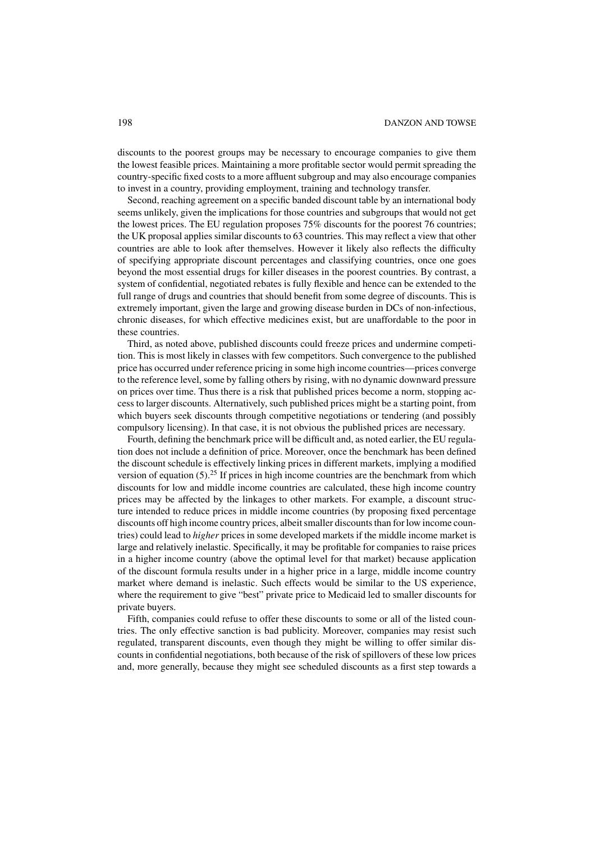discounts to the poorest groups may be necessary to encourage companies to give them the lowest feasible prices. Maintaining a more profitable sector would permit spreading the country-specific fixed costs to a more affluent subgroup and may also encourage companies to invest in a country, providing employment, training and technology transfer.

Second, reaching agreement on a specific banded discount table by an international body seems unlikely, given the implications for those countries and subgroups that would not get the lowest prices. The EU regulation proposes 75% discounts for the poorest 76 countries; the UK proposal applies similar discounts to 63 countries. This may reflect a view that other countries are able to look after themselves. However it likely also reflects the difficulty of specifying appropriate discount percentages and classifying countries, once one goes beyond the most essential drugs for killer diseases in the poorest countries. By contrast, a system of confidential, negotiated rebates is fully flexible and hence can be extended to the full range of drugs and countries that should benefit from some degree of discounts. This is extremely important, given the large and growing disease burden in DCs of non-infectious, chronic diseases, for which effective medicines exist, but are unaffordable to the poor in these countries.

Third, as noted above, published discounts could freeze prices and undermine competition. This is most likely in classes with few competitors. Such convergence to the published price has occurred under reference pricing in some high income countries—prices converge to the reference level, some by falling others by rising, with no dynamic downward pressure on prices over time. Thus there is a risk that published prices become a norm, stopping access to larger discounts. Alternatively, such published prices might be a starting point, from which buyers seek discounts through competitive negotiations or tendering (and possibly compulsory licensing). In that case, it is not obvious the published prices are necessary.

Fourth, defining the benchmark price will be difficult and, as noted earlier, the EU regulation does not include a definition of price. Moreover, once the benchmark has been defined the discount schedule is effectively linking prices in different markets, implying a modified version of equation  $(5)$ .<sup>25</sup> If prices in high income countries are the benchmark from which discounts for low and middle income countries are calculated, these high income country prices may be affected by the linkages to other markets. For example, a discount structure intended to reduce prices in middle income countries (by proposing fixed percentage discounts off high income country prices, albeit smaller discounts than for low income countries) could lead to *higher* prices in some developed markets if the middle income market is large and relatively inelastic. Specifically, it may be profitable for companies to raise prices in a higher income country (above the optimal level for that market) because application of the discount formula results under in a higher price in a large, middle income country market where demand is inelastic. Such effects would be similar to the US experience, where the requirement to give "best" private price to Medicaid led to smaller discounts for private buyers.

Fifth, companies could refuse to offer these discounts to some or all of the listed countries. The only effective sanction is bad publicity. Moreover, companies may resist such regulated, transparent discounts, even though they might be willing to offer similar discounts in confidential negotiations, both because of the risk of spillovers of these low prices and, more generally, because they might see scheduled discounts as a first step towards a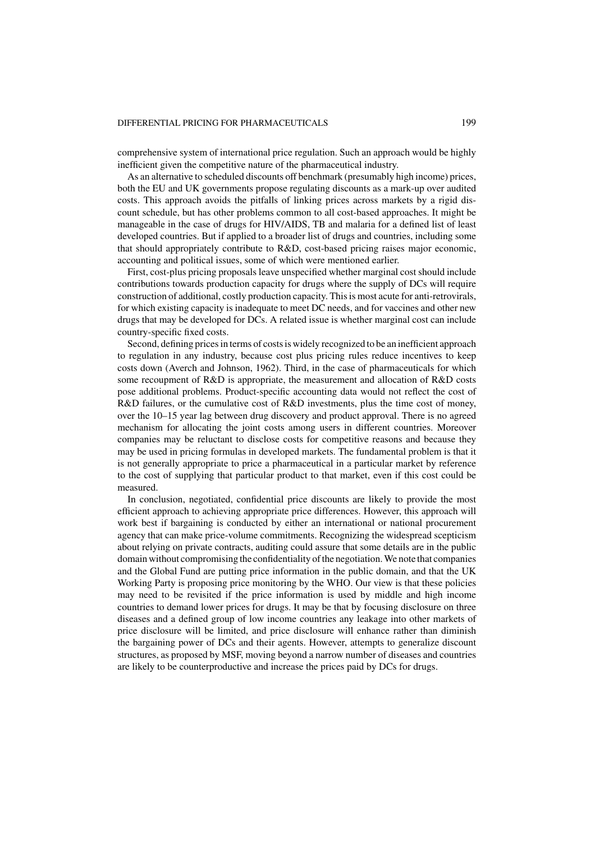comprehensive system of international price regulation. Such an approach would be highly inefficient given the competitive nature of the pharmaceutical industry.

As an alternative to scheduled discounts off benchmark (presumably high income) prices, both the EU and UK governments propose regulating discounts as a mark-up over audited costs. This approach avoids the pitfalls of linking prices across markets by a rigid discount schedule, but has other problems common to all cost-based approaches. It might be manageable in the case of drugs for HIV/AIDS, TB and malaria for a defined list of least developed countries. But if applied to a broader list of drugs and countries, including some that should appropriately contribute to R&D, cost-based pricing raises major economic, accounting and political issues, some of which were mentioned earlier.

First, cost-plus pricing proposals leave unspecified whether marginal cost should include contributions towards production capacity for drugs where the supply of DCs will require construction of additional, costly production capacity. This is most acute for anti-retrovirals, for which existing capacity is inadequate to meet DC needs, and for vaccines and other new drugs that may be developed for DCs. A related issue is whether marginal cost can include country-specific fixed costs.

Second, defining prices in terms of costs is widely recognized to be an inefficient approach to regulation in any industry, because cost plus pricing rules reduce incentives to keep costs down (Averch and Johnson, 1962). Third, in the case of pharmaceuticals for which some recoupment of R&D is appropriate, the measurement and allocation of R&D costs pose additional problems. Product-specific accounting data would not reflect the cost of R&D failures, or the cumulative cost of R&D investments, plus the time cost of money, over the 10–15 year lag between drug discovery and product approval. There is no agreed mechanism for allocating the joint costs among users in different countries. Moreover companies may be reluctant to disclose costs for competitive reasons and because they may be used in pricing formulas in developed markets. The fundamental problem is that it is not generally appropriate to price a pharmaceutical in a particular market by reference to the cost of supplying that particular product to that market, even if this cost could be measured.

In conclusion, negotiated, confidential price discounts are likely to provide the most efficient approach to achieving appropriate price differences. However, this approach will work best if bargaining is conducted by either an international or national procurement agency that can make price-volume commitments. Recognizing the widespread scepticism about relying on private contracts, auditing could assure that some details are in the public domain without compromising the confidentiality of the negotiation. We note that companies and the Global Fund are putting price information in the public domain, and that the UK Working Party is proposing price monitoring by the WHO. Our view is that these policies may need to be revisited if the price information is used by middle and high income countries to demand lower prices for drugs. It may be that by focusing disclosure on three diseases and a defined group of low income countries any leakage into other markets of price disclosure will be limited, and price disclosure will enhance rather than diminish the bargaining power of DCs and their agents. However, attempts to generalize discount structures, as proposed by MSF, moving beyond a narrow number of diseases and countries are likely to be counterproductive and increase the prices paid by DCs for drugs.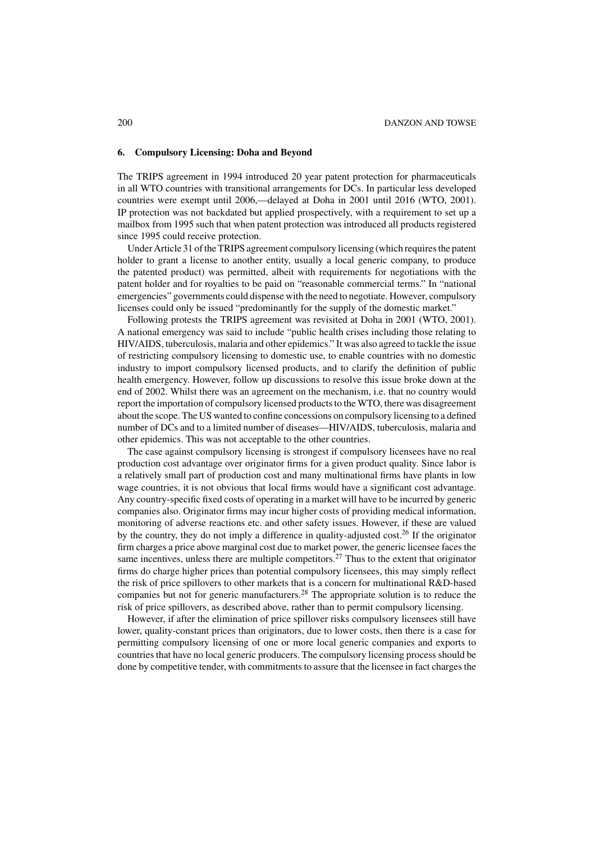## **6. Compulsory Licensing: Doha and Beyond**

The TRIPS agreement in 1994 introduced 20 year patent protection for pharmaceuticals in all WTO countries with transitional arrangements for DCs. In particular less developed countries were exempt until 2006,—delayed at Doha in 2001 until 2016 (WTO, 2001). IP protection was not backdated but applied prospectively, with a requirement to set up a mailbox from 1995 such that when patent protection was introduced all products registered since 1995 could receive protection.

Under Article 31 of the TRIPS agreement compulsory licensing (which requires the patent holder to grant a license to another entity, usually a local generic company, to produce the patented product) was permitted, albeit with requirements for negotiations with the patent holder and for royalties to be paid on "reasonable commercial terms." In "national emergencies" governments could dispense with the need to negotiate. However, compulsory licenses could only be issued "predominantly for the supply of the domestic market."

Following protests the TRIPS agreement was revisited at Doha in 2001 (WTO, 2001). A national emergency was said to include "public health crises including those relating to HIV/AIDS, tuberculosis, malaria and other epidemics." It was also agreed to tackle the issue of restricting compulsory licensing to domestic use, to enable countries with no domestic industry to import compulsory licensed products, and to clarify the definition of public health emergency. However, follow up discussions to resolve this issue broke down at the end of 2002. Whilst there was an agreement on the mechanism, i.e. that no country would report the importation of compulsory licensed products to the WTO, there was disagreement about the scope. The US wanted to confine concessions on compulsory licensing to a defined number of DCs and to a limited number of diseases—HIV/AIDS, tuberculosis, malaria and other epidemics. This was not acceptable to the other countries.

The case against compulsory licensing is strongest if compulsory licensees have no real production cost advantage over originator firms for a given product quality. Since labor is a relatively small part of production cost and many multinational firms have plants in low wage countries, it is not obvious that local firms would have a significant cost advantage. Any country-specific fixed costs of operating in a market will have to be incurred by generic companies also. Originator firms may incur higher costs of providing medical information, monitoring of adverse reactions etc. and other safety issues. However, if these are valued by the country, they do not imply a difference in quality-adjusted cost.<sup>26</sup> If the originator firm charges a price above marginal cost due to market power, the generic licensee faces the same incentives, unless there are multiple competitors.<sup>27</sup> Thus to the extent that originator firms do charge higher prices than potential compulsory licensees, this may simply reflect the risk of price spillovers to other markets that is a concern for multinational R&D-based companies but not for generic manufacturers.<sup>28</sup> The appropriate solution is to reduce the risk of price spillovers, as described above, rather than to permit compulsory licensing.

However, if after the elimination of price spillover risks compulsory licensees still have lower, quality-constant prices than originators, due to lower costs, then there is a case for permitting compulsory licensing of one or more local generic companies and exports to countries that have no local generic producers. The compulsory licensing process should be done by competitive tender, with commitments to assure that the licensee in fact charges the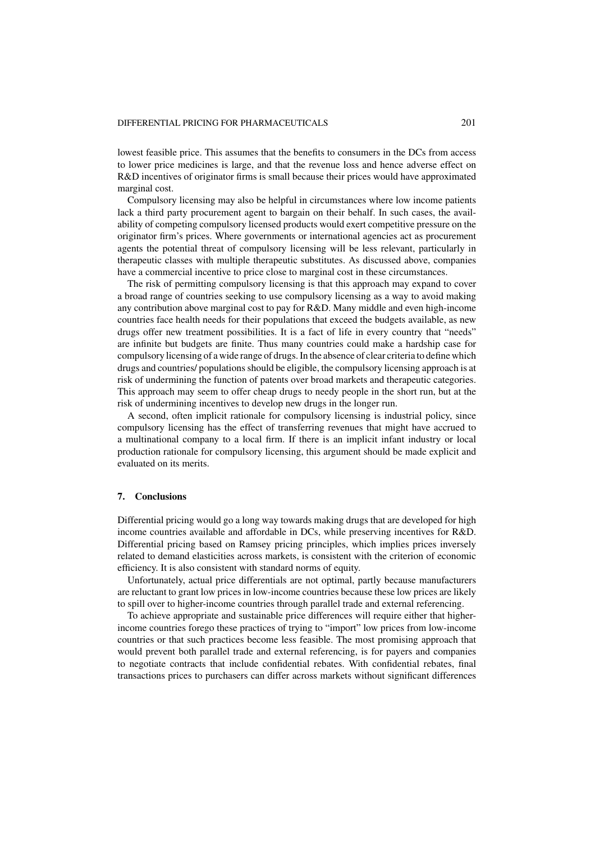lowest feasible price. This assumes that the benefits to consumers in the DCs from access to lower price medicines is large, and that the revenue loss and hence adverse effect on R&D incentives of originator firms is small because their prices would have approximated marginal cost.

Compulsory licensing may also be helpful in circumstances where low income patients lack a third party procurement agent to bargain on their behalf. In such cases, the availability of competing compulsory licensed products would exert competitive pressure on the originator firm's prices. Where governments or international agencies act as procurement agents the potential threat of compulsory licensing will be less relevant, particularly in therapeutic classes with multiple therapeutic substitutes. As discussed above, companies have a commercial incentive to price close to marginal cost in these circumstances.

The risk of permitting compulsory licensing is that this approach may expand to cover a broad range of countries seeking to use compulsory licensing as a way to avoid making any contribution above marginal cost to pay for R&D. Many middle and even high-income countries face health needs for their populations that exceed the budgets available, as new drugs offer new treatment possibilities. It is a fact of life in every country that "needs" are infinite but budgets are finite. Thus many countries could make a hardship case for compulsory licensing of a wide range of drugs. In the absence of clear criteria to define which drugs and countries/ populations should be eligible, the compulsory licensing approach is at risk of undermining the function of patents over broad markets and therapeutic categories. This approach may seem to offer cheap drugs to needy people in the short run, but at the risk of undermining incentives to develop new drugs in the longer run.

A second, often implicit rationale for compulsory licensing is industrial policy, since compulsory licensing has the effect of transferring revenues that might have accrued to a multinational company to a local firm. If there is an implicit infant industry or local production rationale for compulsory licensing, this argument should be made explicit and evaluated on its merits.

## **7. Conclusions**

Differential pricing would go a long way towards making drugs that are developed for high income countries available and affordable in DCs, while preserving incentives for R&D. Differential pricing based on Ramsey pricing principles, which implies prices inversely related to demand elasticities across markets, is consistent with the criterion of economic efficiency. It is also consistent with standard norms of equity.

Unfortunately, actual price differentials are not optimal, partly because manufacturers are reluctant to grant low prices in low-income countries because these low prices are likely to spill over to higher-income countries through parallel trade and external referencing.

To achieve appropriate and sustainable price differences will require either that higherincome countries forego these practices of trying to "import" low prices from low-income countries or that such practices become less feasible. The most promising approach that would prevent both parallel trade and external referencing, is for payers and companies to negotiate contracts that include confidential rebates. With confidential rebates, final transactions prices to purchasers can differ across markets without significant differences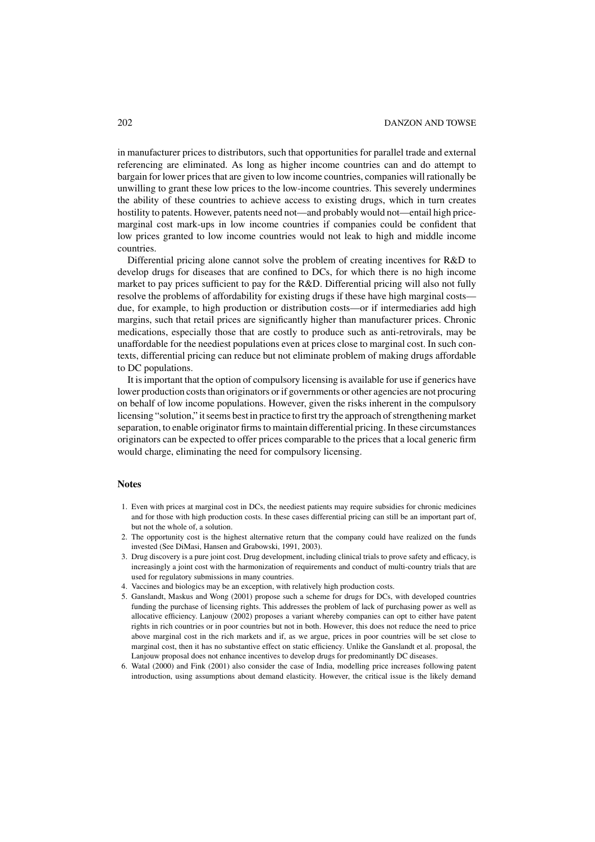in manufacturer prices to distributors, such that opportunities for parallel trade and external referencing are eliminated. As long as higher income countries can and do attempt to bargain for lower prices that are given to low income countries, companies will rationally be unwilling to grant these low prices to the low-income countries. This severely undermines the ability of these countries to achieve access to existing drugs, which in turn creates hostility to patents. However, patents need not—and probably would not—entail high pricemarginal cost mark-ups in low income countries if companies could be confident that low prices granted to low income countries would not leak to high and middle income countries.

Differential pricing alone cannot solve the problem of creating incentives for R&D to develop drugs for diseases that are confined to DCs, for which there is no high income market to pay prices sufficient to pay for the R&D. Differential pricing will also not fully resolve the problems of affordability for existing drugs if these have high marginal costs due, for example, to high production or distribution costs—or if intermediaries add high margins, such that retail prices are significantly higher than manufacturer prices. Chronic medications, especially those that are costly to produce such as anti-retrovirals, may be unaffordable for the neediest populations even at prices close to marginal cost. In such contexts, differential pricing can reduce but not eliminate problem of making drugs affordable to DC populations.

It is important that the option of compulsory licensing is available for use if generics have lower production costs than originators or if governments or other agencies are not procuring on behalf of low income populations. However, given the risks inherent in the compulsory licensing "solution," it seems best in practice to first try the approach of strengthening market separation, to enable originator firms to maintain differential pricing. In these circumstances originators can be expected to offer prices comparable to the prices that a local generic firm would charge, eliminating the need for compulsory licensing.

#### **Notes**

- 1. Even with prices at marginal cost in DCs, the neediest patients may require subsidies for chronic medicines and for those with high production costs. In these cases differential pricing can still be an important part of, but not the whole of, a solution.
- 2. The opportunity cost is the highest alternative return that the company could have realized on the funds invested (See DiMasi, Hansen and Grabowski, 1991, 2003).
- 3. Drug discovery is a pure joint cost. Drug development, including clinical trials to prove safety and efficacy, is increasingly a joint cost with the harmonization of requirements and conduct of multi-country trials that are used for regulatory submissions in many countries.
- 4. Vaccines and biologics may be an exception, with relatively high production costs.
- 5. Ganslandt, Maskus and Wong (2001) propose such a scheme for drugs for DCs, with developed countries funding the purchase of licensing rights. This addresses the problem of lack of purchasing power as well as allocative efficiency. Lanjouw (2002) proposes a variant whereby companies can opt to either have patent rights in rich countries or in poor countries but not in both. However, this does not reduce the need to price above marginal cost in the rich markets and if, as we argue, prices in poor countries will be set close to marginal cost, then it has no substantive effect on static efficiency. Unlike the Ganslandt et al. proposal, the Lanjouw proposal does not enhance incentives to develop drugs for predominantly DC diseases.
- 6. Watal (2000) and Fink (2001) also consider the case of India, modelling price increases following patent introduction, using assumptions about demand elasticity. However, the critical issue is the likely demand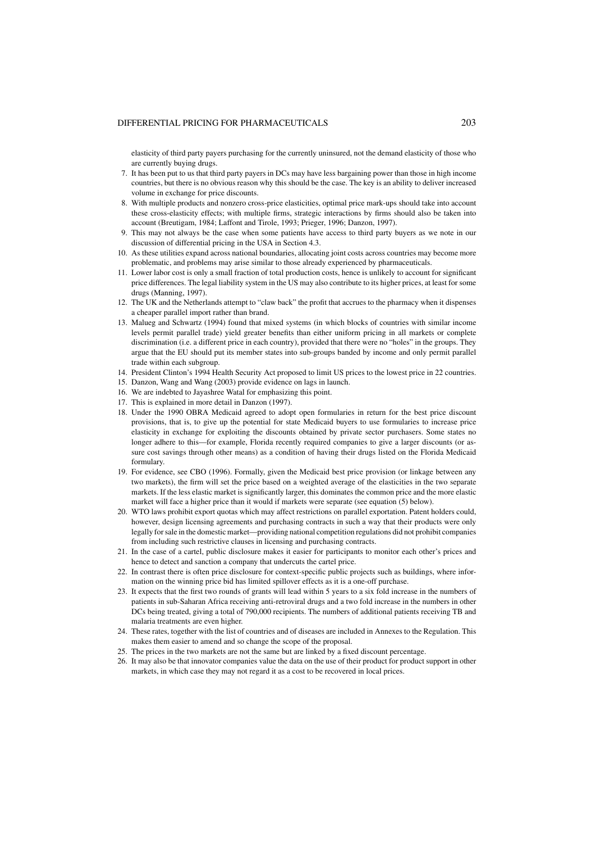elasticity of third party payers purchasing for the currently uninsured, not the demand elasticity of those who are currently buying drugs.

- 7. It has been put to us that third party payers in DCs may have less bargaining power than those in high income countries, but there is no obvious reason why this should be the case. The key is an ability to deliver increased volume in exchange for price discounts.
- 8. With multiple products and nonzero cross-price elasticities, optimal price mark-ups should take into account these cross-elasticity effects; with multiple firms, strategic interactions by firms should also be taken into account (Breutigam, 1984; Laffont and Tirole, 1993; Prieger, 1996; Danzon, 1997).
- 9. This may not always be the case when some patients have access to third party buyers as we note in our discussion of differential pricing in the USA in Section 4.3.
- 10. As these utilities expand across national boundaries, allocating joint costs across countries may become more problematic, and problems may arise similar to those already experienced by pharmaceuticals.
- 11. Lower labor cost is only a small fraction of total production costs, hence is unlikely to account for significant price differences. The legal liability system in the US may also contribute to its higher prices, at least for some drugs (Manning, 1997).
- 12. The UK and the Netherlands attempt to "claw back" the profit that accrues to the pharmacy when it dispenses a cheaper parallel import rather than brand.
- 13. Malueg and Schwartz (1994) found that mixed systems (in which blocks of countries with similar income levels permit parallel trade) yield greater benefits than either uniform pricing in all markets or complete discrimination (i.e. a different price in each country), provided that there were no "holes" in the groups. They argue that the EU should put its member states into sub-groups banded by income and only permit parallel trade within each subgroup.
- 14. President Clinton's 1994 Health Security Act proposed to limit US prices to the lowest price in 22 countries.
- 15. Danzon, Wang and Wang (2003) provide evidence on lags in launch.
- 16. We are indebted to Jayashree Watal for emphasizing this point.
- 17. This is explained in more detail in Danzon (1997).
- 18. Under the 1990 OBRA Medicaid agreed to adopt open formularies in return for the best price discount provisions, that is, to give up the potential for state Medicaid buyers to use formularies to increase price elasticity in exchange for exploiting the discounts obtained by private sector purchasers. Some states no longer adhere to this—for example, Florida recently required companies to give a larger discounts (or assure cost savings through other means) as a condition of having their drugs listed on the Florida Medicaid formulary.
- 19. For evidence, see CBO (1996). Formally, given the Medicaid best price provision (or linkage between any two markets), the firm will set the price based on a weighted average of the elasticities in the two separate markets. If the less elastic market is significantly larger, this dominates the common price and the more elastic market will face a higher price than it would if markets were separate (see equation (5) below).
- 20. WTO laws prohibit export quotas which may affect restrictions on parallel exportation. Patent holders could, however, design licensing agreements and purchasing contracts in such a way that their products were only legally for sale in the domestic market—providing national competition regulations did not prohibit companies from including such restrictive clauses in licensing and purchasing contracts.
- 21. In the case of a cartel, public disclosure makes it easier for participants to monitor each other's prices and hence to detect and sanction a company that undercuts the cartel price.
- 22. In contrast there is often price disclosure for context-specific public projects such as buildings, where information on the winning price bid has limited spillover effects as it is a one-off purchase.
- 23. It expects that the first two rounds of grants will lead within 5 years to a six fold increase in the numbers of patients in sub-Saharan Africa receiving anti-retroviral drugs and a two fold increase in the numbers in other DCs being treated, giving a total of 790,000 recipients. The numbers of additional patients receiving TB and malaria treatments are even higher.
- 24. These rates, together with the list of countries and of diseases are included in Annexes to the Regulation. This makes them easier to amend and so change the scope of the proposal.
- 25. The prices in the two markets are not the same but are linked by a fixed discount percentage.
- 26. It may also be that innovator companies value the data on the use of their product for product support in other markets, in which case they may not regard it as a cost to be recovered in local prices.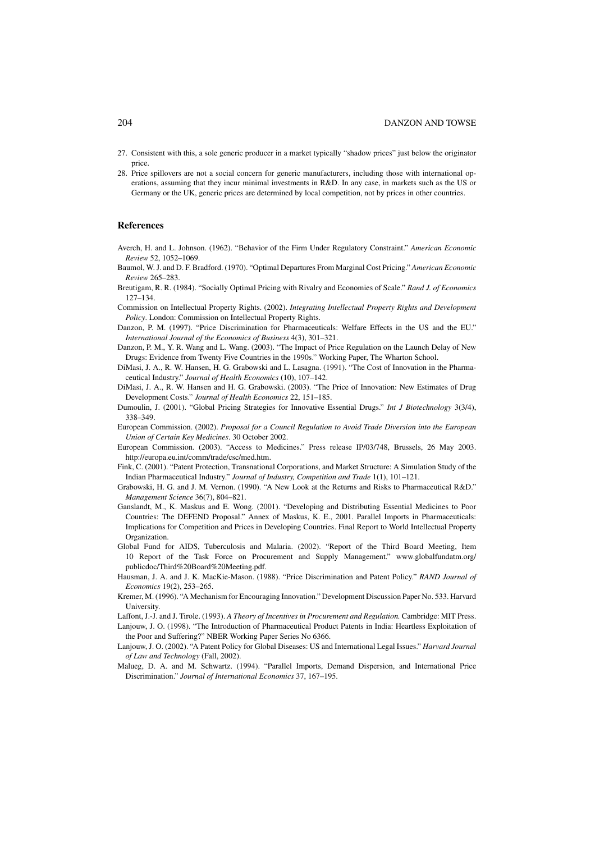#### 204 DANZON AND TOWSE

- 27. Consistent with this, a sole generic producer in a market typically "shadow prices" just below the originator price.
- 28. Price spillovers are not a social concern for generic manufacturers, including those with international operations, assuming that they incur minimal investments in R&D. In any case, in markets such as the US or Germany or the UK, generic prices are determined by local competition, not by prices in other countries.

# **References**

- Averch, H. and L. Johnson. (1962). "Behavior of the Firm Under Regulatory Constraint." *American Economic Review* 52, 1052–1069.
- Baumol, W. J. and D. F. Bradford. (1970). "Optimal Departures From Marginal Cost Pricing." *American Economic Review* 265–283.
- Breutigam, R. R. (1984). "Socially Optimal Pricing with Rivalry and Economies of Scale." *Rand J. of Economics* 127–134.
- Commission on Intellectual Property Rights. (2002). *Integrating Intellectual Property Rights and Development Policy*. London: Commission on Intellectual Property Rights.
- Danzon, P. M. (1997). "Price Discrimination for Pharmaceuticals: Welfare Effects in the US and the EU." *International Journal of the Economics of Business* 4(3), 301–321.
- Danzon, P. M., Y. R. Wang and L. Wang. (2003). "The Impact of Price Regulation on the Launch Delay of New Drugs: Evidence from Twenty Five Countries in the 1990s." Working Paper, The Wharton School.
- DiMasi, J. A., R. W. Hansen, H. G. Grabowski and L. Lasagna. (1991). "The Cost of Innovation in the Pharmaceutical Industry." *Journal of Health Economics* (10), 107–142.
- DiMasi, J. A., R. W. Hansen and H. G. Grabowski. (2003). "The Price of Innovation: New Estimates of Drug Development Costs." *Journal of Health Economics* 22, 151–185.
- Dumoulin, J. (2001). "Global Pricing Strategies for Innovative Essential Drugs." *Int J Biotechnology* 3(3/4), 338–349.
- European Commission. (2002). *Proposal for a Council Regulation to Avoid Trade Diversion into the European Union of Certain Key Medicines*. 30 October 2002.
- European Commission. (2003). "Access to Medicines." Press release IP/03/748, Brussels, 26 May 2003. http://europa.eu.int/comm/trade/csc/med.htm.
- Fink, C. (2001). "Patent Protection, Transnational Corporations, and Market Structure: A Simulation Study of the Indian Pharmaceutical Industry." *Journal of Industry, Competition and Trade* 1(1), 101–121.
- Grabowski, H. G. and J. M. Vernon. (1990). "A New Look at the Returns and Risks to Pharmaceutical R&D." *Management Science* 36(7), 804–821.
- Ganslandt, M., K. Maskus and E. Wong. (2001). "Developing and Distributing Essential Medicines to Poor Countries: The DEFEND Proposal." Annex of Maskus, K. E., 2001. Parallel Imports in Pharmaceuticals: Implications for Competition and Prices in Developing Countries. Final Report to World Intellectual Property Organization.
- Global Fund for AIDS, Tuberculosis and Malaria. (2002). "Report of the Third Board Meeting, Item 10 Report of the Task Force on Procurement and Supply Management." www.globalfundatm.org/ publicdoc/Third%20Board%20Meeting.pdf.
- Hausman, J. A. and J. K. MacKie-Mason. (1988). "Price Discrimination and Patent Policy." *RAND Journal of Economics* 19(2), 253–265.
- Kremer, M. (1996). "A Mechanism for Encouraging Innovation." Development Discussion Paper No. 533. Harvard University.
- Laffont, J.-J. and J. Tirole. (1993). *A Theory of Incentives in Procurement and Regulation.* Cambridge: MIT Press.
- Lanjouw, J. O. (1998). "The Introduction of Pharmaceutical Product Patents in India: Heartless Exploitation of the Poor and Suffering?" NBER Working Paper Series No 6366.
- Lanjouw, J. O. (2002). "A Patent Policy for Global Diseases: US and International Legal Issues." *Harvard Journal of Law and Technology* (Fall, 2002).
- Malueg, D. A. and M. Schwartz. (1994). "Parallel Imports, Demand Dispersion, and International Price Discrimination." *Journal of International Economics* 37, 167–195.